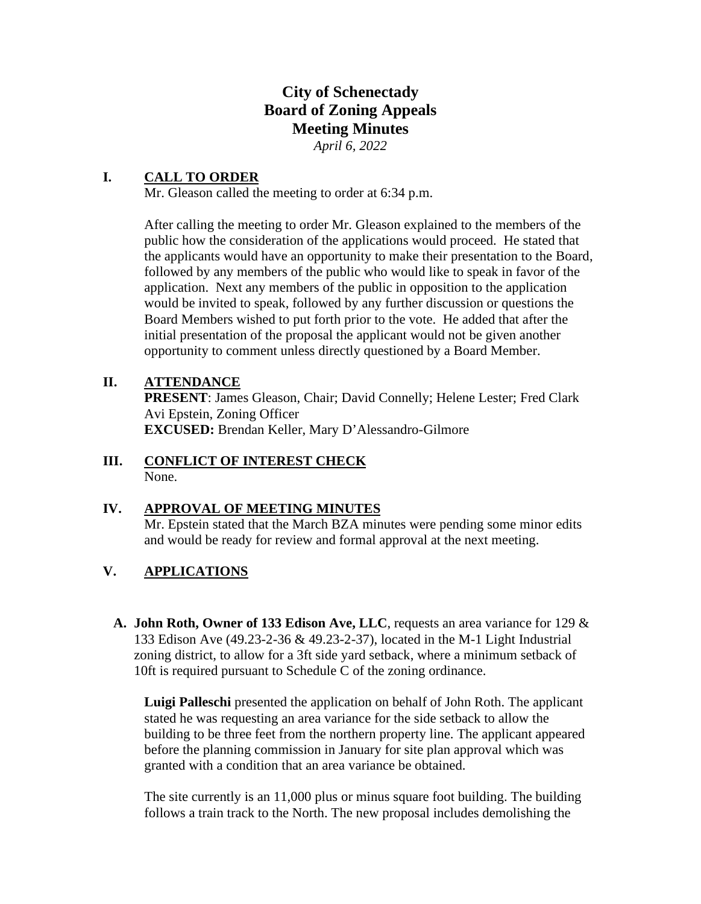# **City of Schenectady Board of Zoning Appeals Meeting Minutes**  *April 6, 2022*

# **I. CALL TO ORDER**

Mr. Gleason called the meeting to order at 6:34 p.m.

After calling the meeting to order Mr. Gleason explained to the members of the public how the consideration of the applications would proceed. He stated that the applicants would have an opportunity to make their presentation to the Board, followed by any members of the public who would like to speak in favor of the application. Next any members of the public in opposition to the application would be invited to speak, followed by any further discussion or questions the Board Members wished to put forth prior to the vote. He added that after the initial presentation of the proposal the applicant would not be given another opportunity to comment unless directly questioned by a Board Member.

## **II. ATTENDANCE**

**PRESENT**: James Gleason, Chair; David Connelly; Helene Lester; Fred Clark Avi Epstein, Zoning Officer **EXCUSED:** Brendan Keller, Mary D'Alessandro-Gilmore

### **III. CONFLICT OF INTEREST CHECK**  None.

# **IV. APPROVAL OF MEETING MINUTES**

Mr. Epstein stated that the March BZA minutes were pending some minor edits and would be ready for review and formal approval at the next meeting.

# **V. APPLICATIONS**

**A. John Roth, Owner of 133 Edison Ave, LLC**, requests an area variance for 129 & 133 Edison Ave (49.23-2-36 & 49.23-2-37), located in the M-1 Light Industrial zoning district, to allow for a 3ft side yard setback, where a minimum setback of 10ft is required pursuant to Schedule C of the zoning ordinance.

**Luigi Palleschi** presented the application on behalf of John Roth. The applicant stated he was requesting an area variance for the side setback to allow the building to be three feet from the northern property line. The applicant appeared before the planning commission in January for site plan approval which was granted with a condition that an area variance be obtained.

The site currently is an 11,000 plus or minus square foot building. The building follows a train track to the North. The new proposal includes demolishing the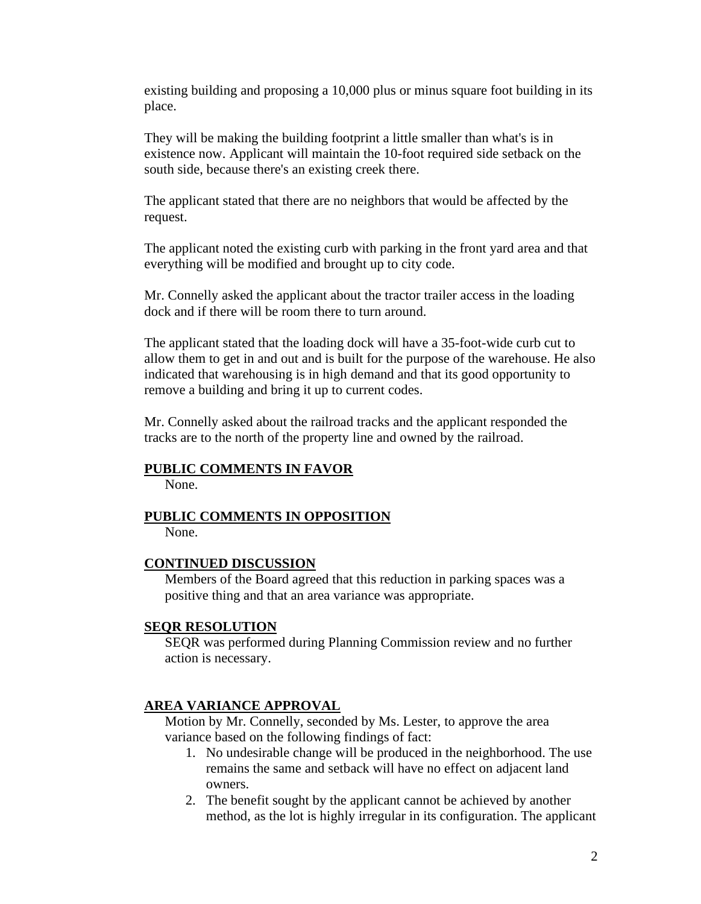existing building and proposing a 10,000 plus or minus square foot building in its place.

They will be making the building footprint a little smaller than what's is in existence now. Applicant will maintain the 10-foot required side setback on the south side, because there's an existing creek there.

The applicant stated that there are no neighbors that would be affected by the request.

The applicant noted the existing curb with parking in the front yard area and that everything will be modified and brought up to city code.

Mr. Connelly asked the applicant about the tractor trailer access in the loading dock and if there will be room there to turn around.

The applicant stated that the loading dock will have a 35-foot-wide curb cut to allow them to get in and out and is built for the purpose of the warehouse. He also indicated that warehousing is in high demand and that its good opportunity to remove a building and bring it up to current codes.

Mr. Connelly asked about the railroad tracks and the applicant responded the tracks are to the north of the property line and owned by the railroad.

#### **PUBLIC COMMENTS IN FAVOR**

None.

## **PUBLIC COMMENTS IN OPPOSITION**

None.

#### **CONTINUED DISCUSSION**

Members of the Board agreed that this reduction in parking spaces was a positive thing and that an area variance was appropriate.

#### **SEQR RESOLUTION**

SEQR was performed during Planning Commission review and no further action is necessary.

#### **AREA VARIANCE APPROVAL**

Motion by Mr. Connelly, seconded by Ms. Lester, to approve the area variance based on the following findings of fact:

- 1. No undesirable change will be produced in the neighborhood. The use remains the same and setback will have no effect on adjacent land owners.
- 2. The benefit sought by the applicant cannot be achieved by another method, as the lot is highly irregular in its configuration. The applicant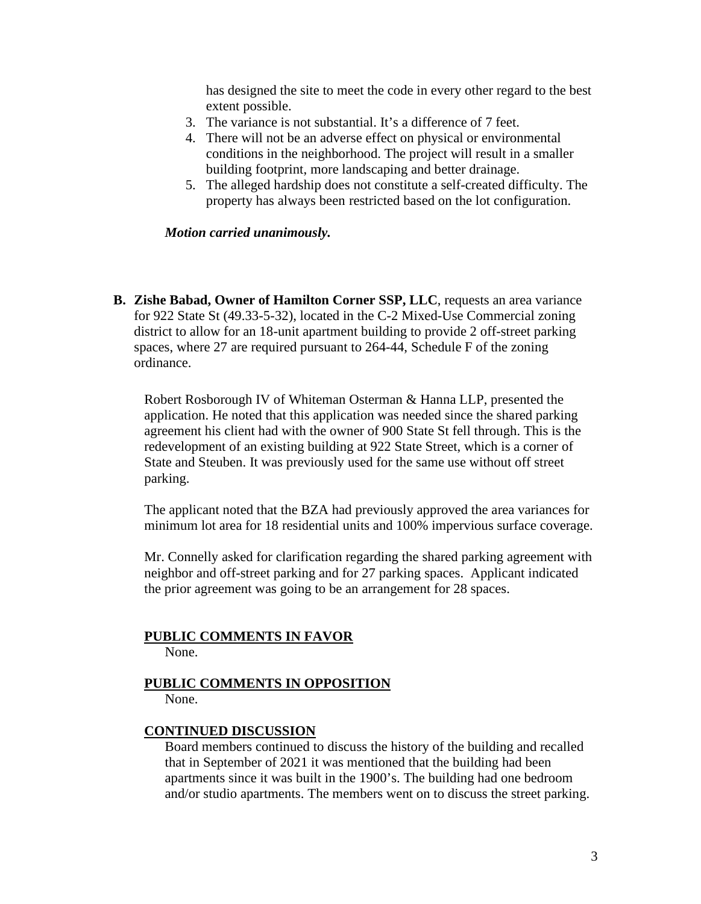has designed the site to meet the code in every other regard to the best extent possible.

- 3. The variance is not substantial. It's a difference of 7 feet.
- 4. There will not be an adverse effect on physical or environmental conditions in the neighborhood. The project will result in a smaller building footprint, more landscaping and better drainage.
- 5. The alleged hardship does not constitute a self-created difficulty. The property has always been restricted based on the lot configuration.

*Motion carried unanimously.* 

**B. Zishe Babad, Owner of Hamilton Corner SSP, LLC**, requests an area variance for 922 State St (49.33-5-32), located in the C-2 Mixed-Use Commercial zoning district to allow for an 18-unit apartment building to provide 2 off-street parking spaces, where 27 are required pursuant to 264-44, Schedule F of the zoning ordinance.

Robert Rosborough IV of Whiteman Osterman & Hanna LLP, presented the application. He noted that this application was needed since the shared parking agreement his client had with the owner of 900 State St fell through. This is the redevelopment of an existing building at 922 State Street, which is a corner of State and Steuben. It was previously used for the same use without off street parking.

The applicant noted that the BZA had previously approved the area variances for minimum lot area for 18 residential units and 100% impervious surface coverage.

Mr. Connelly asked for clarification regarding the shared parking agreement with neighbor and off-street parking and for 27 parking spaces. Applicant indicated the prior agreement was going to be an arrangement for 28 spaces.

# **PUBLIC COMMENTS IN FAVOR**

None.

### **PUBLIC COMMENTS IN OPPOSITION**  None.

### **CONTINUED DISCUSSION**

Board members continued to discuss the history of the building and recalled that in September of 2021 it was mentioned that the building had been apartments since it was built in the 1900's. The building had one bedroom and/or studio apartments. The members went on to discuss the street parking.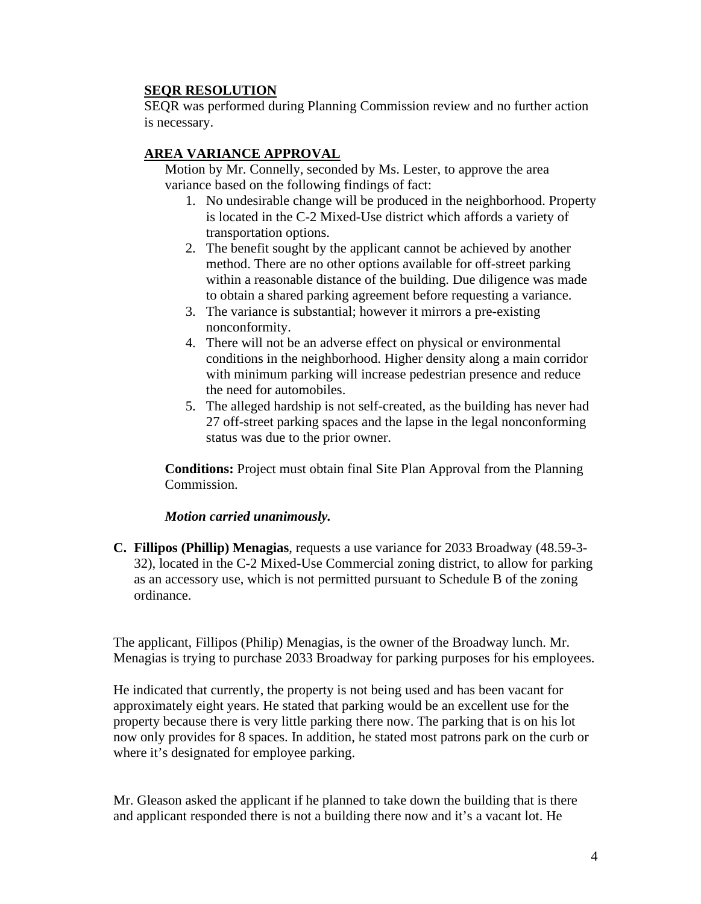# **SEQR RESOLUTION**

SEQR was performed during Planning Commission review and no further action is necessary.

# **AREA VARIANCE APPROVAL**

Motion by Mr. Connelly, seconded by Ms. Lester, to approve the area variance based on the following findings of fact:

- 1. No undesirable change will be produced in the neighborhood. Property is located in the C-2 Mixed-Use district which affords a variety of transportation options.
- 2. The benefit sought by the applicant cannot be achieved by another method. There are no other options available for off-street parking within a reasonable distance of the building. Due diligence was made to obtain a shared parking agreement before requesting a variance.
- 3. The variance is substantial; however it mirrors a pre-existing nonconformity.
- 4. There will not be an adverse effect on physical or environmental conditions in the neighborhood. Higher density along a main corridor with minimum parking will increase pedestrian presence and reduce the need for automobiles.
- 5. The alleged hardship is not self-created, as the building has never had 27 off-street parking spaces and the lapse in the legal nonconforming status was due to the prior owner.

**Conditions:** Project must obtain final Site Plan Approval from the Planning Commission.

### *Motion carried unanimously.*

**C. Fillipos (Phillip) Menagias**, requests a use variance for 2033 Broadway (48.59-3- 32), located in the C-2 Mixed-Use Commercial zoning district, to allow for parking as an accessory use, which is not permitted pursuant to Schedule B of the zoning ordinance.

The applicant, Fillipos (Philip) Menagias, is the owner of the Broadway lunch. Mr. Menagias is trying to purchase 2033 Broadway for parking purposes for his employees.

He indicated that currently, the property is not being used and has been vacant for approximately eight years. He stated that parking would be an excellent use for the property because there is very little parking there now. The parking that is on his lot now only provides for 8 spaces. In addition, he stated most patrons park on the curb or where it's designated for employee parking.

Mr. Gleason asked the applicant if he planned to take down the building that is there and applicant responded there is not a building there now and it's a vacant lot. He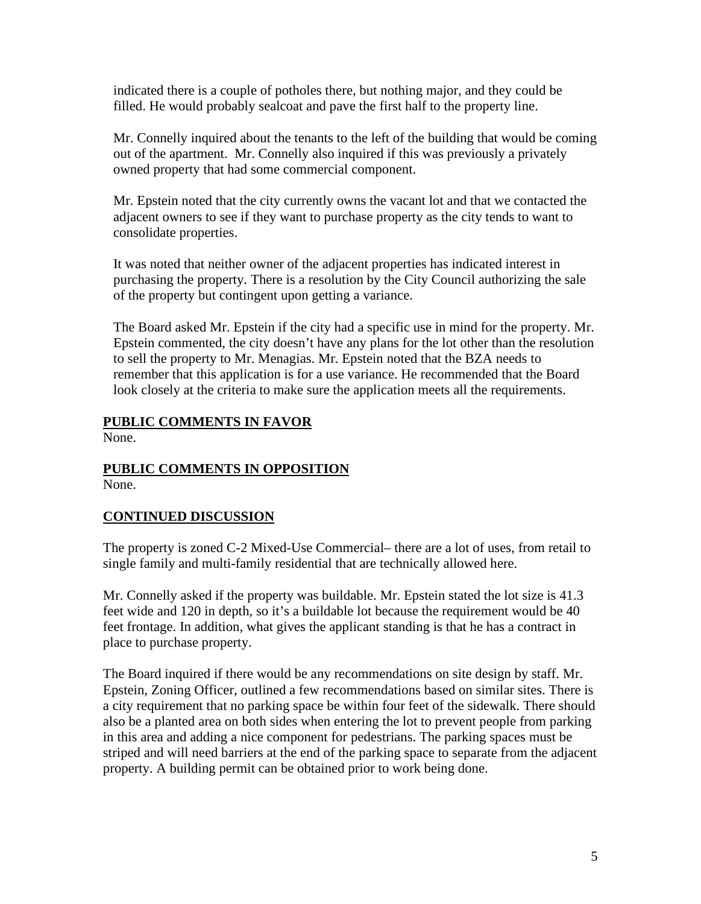indicated there is a couple of potholes there, but nothing major, and they could be filled. He would probably sealcoat and pave the first half to the property line.

Mr. Connelly inquired about the tenants to the left of the building that would be coming out of the apartment. Mr. Connelly also inquired if this was previously a privately owned property that had some commercial component.

Mr. Epstein noted that the city currently owns the vacant lot and that we contacted the adjacent owners to see if they want to purchase property as the city tends to want to consolidate properties.

It was noted that neither owner of the adjacent properties has indicated interest in purchasing the property. There is a resolution by the City Council authorizing the sale of the property but contingent upon getting a variance.

The Board asked Mr. Epstein if the city had a specific use in mind for the property. Mr. Epstein commented, the city doesn't have any plans for the lot other than the resolution to sell the property to Mr. Menagias. Mr. Epstein noted that the BZA needs to remember that this application is for a use variance. He recommended that the Board look closely at the criteria to make sure the application meets all the requirements.

# **PUBLIC COMMENTS IN FAVOR**

None.

#### **PUBLIC COMMENTS IN OPPOSITION**  None.

# **CONTINUED DISCUSSION**

The property is zoned C-2 Mixed-Use Commercial– there are a lot of uses, from retail to single family and multi-family residential that are technically allowed here.

Mr. Connelly asked if the property was buildable. Mr. Epstein stated the lot size is 41.3 feet wide and 120 in depth, so it's a buildable lot because the requirement would be 40 feet frontage. In addition, what gives the applicant standing is that he has a contract in place to purchase property.

The Board inquired if there would be any recommendations on site design by staff. Mr. Epstein, Zoning Officer, outlined a few recommendations based on similar sites. There is a city requirement that no parking space be within four feet of the sidewalk. There should also be a planted area on both sides when entering the lot to prevent people from parking in this area and adding a nice component for pedestrians. The parking spaces must be striped and will need barriers at the end of the parking space to separate from the adjacent property. A building permit can be obtained prior to work being done.